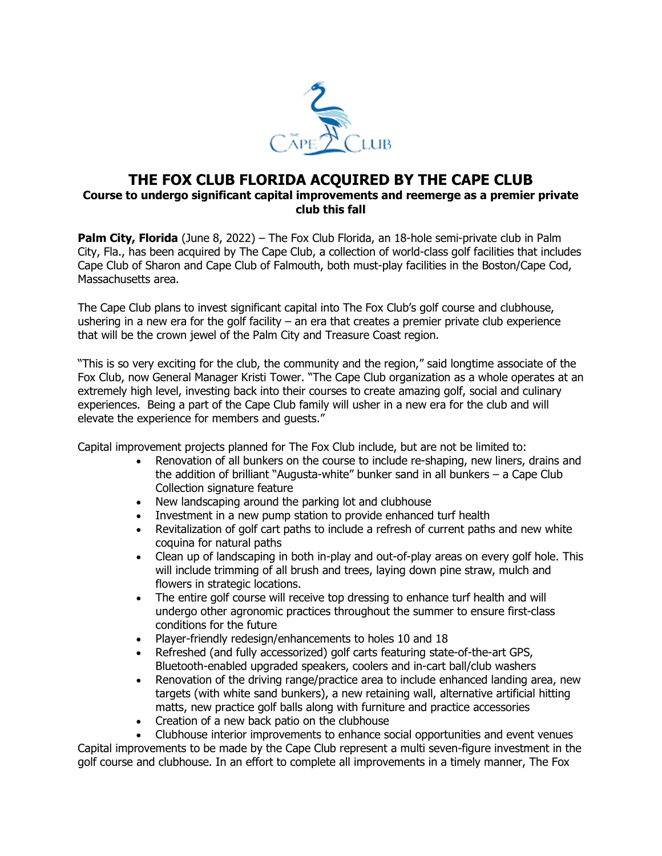

## **THE FOX CLUB FLORIDA ACQUIRED BY THE CAPE CLUB Course to undergo significant capital improvements and reemerge as a premier private club this fall**

**Palm City, Florida** (June 8, 2022) – [The Fox Club Florida,](https://urldefense.com/v3/__https:/u7061146.ct.sendgrid.net/ls/click?upn=4tNED-2FM8iDZJQyQ53jATUdti-2Bi0iLyWINWlLSp2g1ivTHoQlZ1z-2FWvoA9KeiqKqkb72j_usD9nejpv1Sfq-2Fqq2xOBfuxzMSeNFY4Gv83TNQO1z2Ic7W4-2FstTGDkjcJ4yb4ygzNVY-2BxR-2BtpzxJCZ14vY7oIvf8XRhpm-2BwdYlQRCq-2Fq6REzxHJaDj9WAKjpIAf1MVtMc5cras0KMSaAKo4xARAwbCt2cd-2FFBx9rFjoh-2Bwx0ybT0TRwwzSVZk5TjyACaKxzpWycfc3DQjs-2Bk8o3PnpFUrazPCiNWSoz3ViMDKdMF0SupN0XsBIplxqnF3LGqUUHn5icDFFcUBzPoJvTlf7uEe1zMAlfCwj7u1u6WX09IwC0FlTpvAus0g2dEyc6eWUZA4zfSzV-2FXHbOfGe0vyg8z4w-3D-3D__;!!PIZeeW5wscynRQ!oGM_vav1nXhmvzxf6kpwi4-zF2q0YyV7-QHVeRtXg_bM1TTgTDdDDVKt2CstIiwyrl-5hxaMVWZnFh58l-s$) an 18-hole semi-private club in Palm City, Fla., has been acquired by The Cape Club, a collection of world-class golf facilities that includes Cape Club of Sharon and Cape Club of Falmouth, both must-play facilities in the Boston/Cape Cod, Massachusetts area.

The Cape Club plans to invest significant capital into The Fox Club's golf course and clubhouse, ushering in a new era for the golf facility – an era that creates a premier private club experience that will be the crown jewel of the Palm City and Treasure Coast region.

"This is so very exciting for the club, the community and the region," said longtime associate of the Fox Club, now General Manager Kristi Tower. "The Cape Club organization as a whole operates at an extremely high level, investing back into their courses to create amazing golf, social and culinary experiences. Being a part of the Cape Club family will usher in a new era for the club and will elevate the experience for members and guests."

Capital improvement projects planned for The Fox Club include, but are not be limited to:

- Renovation of all bunkers on the course to include re-shaping, new liners, drains and the addition of brilliant "Augusta-white" bunker sand in all bunkers – a Cape Club Collection signature feature
- New landscaping around the parking lot and clubhouse
- Investment in a new pump station to provide enhanced turf health
- Revitalization of golf cart paths to include a refresh of current paths and new white coquina for natural paths
- Clean up of landscaping in both in-play and out-of-play areas on every golf hole. This will include trimming of all brush and trees, laying down pine straw, mulch and flowers in strategic locations.
- The entire golf course will receive top dressing to enhance turf health and will undergo other agronomic practices throughout the summer to ensure first-class conditions for the future
- Player-friendly redesign/enhancements to holes 10 and 18
- Refreshed (and fully accessorized) golf carts featuring state-of-the-art GPS, Bluetooth-enabled upgraded speakers, coolers and in-cart ball/club washers
- Renovation of the driving range/practice area to include enhanced landing area, new targets (with white sand bunkers), a new retaining wall, alternative artificial hitting matts, new practice golf balls along with furniture and practice accessories
- Creation of a new back patio on the clubhouse

• Clubhouse interior improvements to enhance social opportunities and event venues Capital improvements to be made by the Cape Club represent a multi seven-figure investment in the golf course and clubhouse. In an effort to complete all improvements in a timely manner, The Fox